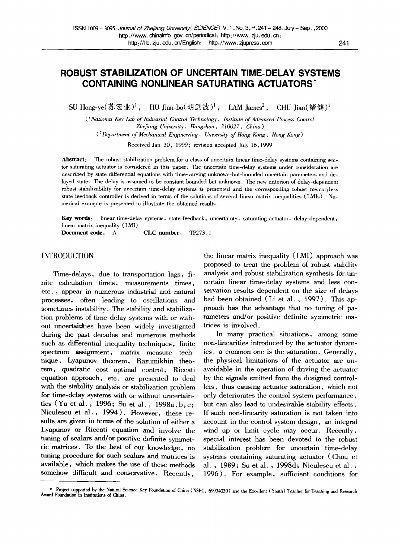# **ROBUST STABILIZATION OF UNCERTAIN TIME-DELAY SYSTEMS CONTAINING NONLINEAR SATURATING ACTUATORS**

SU Hong-ye(苏宏业)<sup>1</sup>, HU Jian-bo(胡剑波)<sup>1</sup>, LAM James<sup>2</sup>, CHU Jian(褚健)<sup>1</sup>

*( 1 National Key l~zb of lrullastrial Control Technology, Irhstitate of Advanced Process Control Zhejiang University, Hangzhou , 310027, China)* 

*(2Department of Mechanical Engineering, University of Hong Kong, llong Kong )* 

Received Jan.30, 1999; revision accepted July 16, 1999

Abstract: The robust stabilization problem for a class of uncertain linear time-delay systems containing sector saturating actuator is considered in this paper. The uncertain time-delay systems under consideration are described by state differential equations with time-varying unknown-but-bounded uncertain parameters and delayed state. The delay is assumed to be constant bounded but unknown. The new criterion of delay-dependent robust stabilizability for uncertain time-delay systems is presented and the corresponding robust memoryless state feedback controller is derived in terms of the solutions of several linear matrix inequalities (LMIs). Numerical example is presented to illustrate the obtained results.

Key words: linear time-delay systems, state feedback, uncertainty, saturating actuator, delay-dependent, linear matrix inequality (LMI)

Document code: A CLC number: TP273.1

### INTRODUCTION

Time-delays, due to transportation lags, finite calculation times, measurements times, etc., appear in numerous industrial and natural processes, often leading to oscillations and sometimes instability. The stability and stabilization problems of time-delay systems with or without uncertainties have been widely investigated during the past decades and numerous methods such as differential inequality techniques, finite spectrum assignment, matrix measure technique, Lyapunov theorem, Razumikhin theorem, quadratic cost optimal control, Riccati equation approach, etc. are presented to deal with the stability analysis or stabilization problem for time-delay systems with or without uncertainties (Yu et al., 1996; Su et al., 1998a,b,c; Niculescu et al., 1994). However, these resuhs are given in terms of the solution of either a Lyapunov or Riccati equation and involve the tuning of scalars and/or positive definite symmetric matrices. To the best of our knowledge, no tuning procedure for such scalars and matrices is available, which makes the use of these methods somehow difficult and conservative. Recently,

the linear matrix inequality (LMI) approach was proposed to treat the problem of robust stability analysis and robust stabilization synthesis for uncertain linear time-delay systems and less conservation results dependent on the size of delays had been obtained (Li et al., 1997). This approach has the advantage that no tuning of parameters and/or positive definite symmetric matrices is involved.

In many practical situations, among some non-linearities introduced by the actuator dynamics, a common one is the saturation. Generally, the physical limitations of the actuator are unavoidable in the operation of driving the actuator by the signals emitted from the designed controllers, thus causing actuator saturation, which not only deteriorates the control system performance, but can also lead to undesirable stability effects. If such non-linearity saturation is not taken into account in the control system design, an integral wind up or limit cycle may occur. Recently, special interest has been devoted to the robust stabilization problem for uncertain time-delay systems containing saturating actuator (Chou et al., 1989; Suet al., 1998d; Niculescu et al., 1996). For example, sufficient conditions for

<sup>\*</sup> Project supported by the Natural Science Key Foundation of China (NSFC: 69934030) and the Excellent (Youth) Teacher for Teaching and Research Award Foundation in Institutions of China.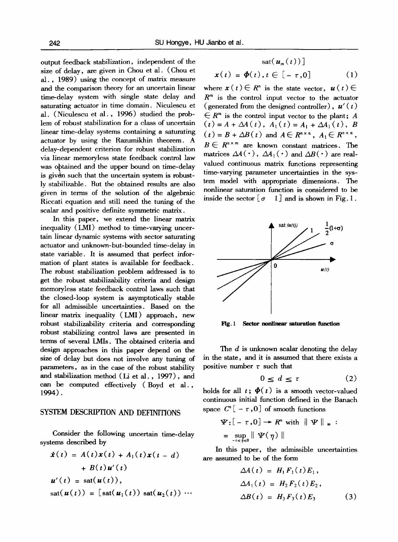output feedback stabilization, independent of the size of delay, are given in Chou et al. (Chou et al., 1989) using the concept of matrix measure and the comparison theory for an uncertain linear time-delay system with single state delay and saturating actuator in time domain. Niculescu et al. (Niculescu et al., 1996) studied the problem of robust stabilization for a class of uncertain linear time-delay systems containing a saturating actuator by using the Razumikhin theorem. A delay-dependent criterion for robust stabilization via linear memoryless state feedback control law was obtained and the upper bound on time-delay is givdn such that the uncertain system is robustly stabilizable. But the obtained results are also given in terms of the solution of the algebraic Riccati equation and still need the tuning of the scalar and positive definite symmetric matrix.

In this paper, we extend the linear matrix inequality (LMI) method to time-varying uncertain linear dynamic systems with sector saturating actuator and unknown-but-bounded time-delay in state variable. It is assumed that perfect information of plant states is available for feedback. The robust stabilization problem addressed is to get the robust stabilizability criteria and design memoryless state feedback control laws such that the closed-loop system is asymptotically stable for all admissible uncertainties. Based on the linear matrix inequality (LMI) approach, new robust stabilizability criteria and corresponding robust stabilizing control laws are presented in terms of several LMIs. The obtained criteria and design approaches in this paper depend on the size of delay but does not involve any tuning of parameters, as in the case of the robust stability and stabilization method (Li et al., 1997), and can be computed effectively (Boyd et al., 1994).

### SYSTEM DESCRIPTION AND DEFINITIONS

Consider the following uncertain time-delay systems described by

$$
\dot{x}(t) = A(t)x(t) + A_1(t)x(t - d)
$$
  
+ B(t)u'(t)  

$$
u'(t) = \text{sat}(u(t)),
$$
  

$$
\text{sat}(u(t)) = [\text{sat}(u_1(t)) \text{ sat}(u_2(t)) \cdots
$$

$$
sat(u_m(t))\rfloor
$$
  

$$
x(t) = \phi(t), t \in [-\tau, 0]
$$
 (1)

where  $x(t) \in \mathbb{R}^n$  is the state vector,  $u(t) \in$  $R<sup>m</sup>$  is the control input vector to the actuator ( generated from the designed controller),  $u'(t)$  $F \in \mathbb{R}^m$  is the control input vector to the plant; A  $(t) = A + \Delta A(t), A_1(t) = A_1 + \Delta A_1(t), B_2$  $f(t) = B + \Delta B(t)$  and  $A \in R^{n \times n}$ ,  $A_1 \in R^{n \times n}$ ,  $B \in R^{n \times m}$  are known constant matrices. The matrices  $\Delta A(\cdot)$ ,  $\Delta A_1(\cdot)$  and  $\Delta B(\cdot)$  are realvalued continuous matrix functions representing time-varying parameter uncertainties in the system model with appropriate dimensions. The nonlinear saturation function is considered to be inside the sector  $\begin{bmatrix} \sigma & 1 \end{bmatrix}$  and is shown in Fig. 1.



Fig. 1 Sector nonlinear saturation function

The d is unknown scalar denoting the delay in the state, and it is assumed that there exists a positive number  $\tau$  such that

$$
0 \le d \le \tau \tag{2}
$$

holds for all  $t$ ;  $\phi(t)$  is a smooth vector-valued continuous initial function defined in the Banach space  $C^{n}[-\tau,0]$  of smooth functions

$$
\Psi: \left[-\tau, 0\right] \to R^n \text{ with } \|\Psi\|_{\infty} :
$$
  
= 
$$
\sup_{-\tau \leq \tilde{\eta} \leq 0} \|\Psi(\eta)\|
$$

In this paper, the admissible uncertainties are assumed to be of the form

$$
\Delta A(t) = H_1 F_1(t) E_1,
$$
  
\n
$$
\Delta A_1(t) = H_2 F_2(t) E_2,
$$
  
\n
$$
\Delta B(t) = H_3 F_3(t) E_3
$$
\n(3)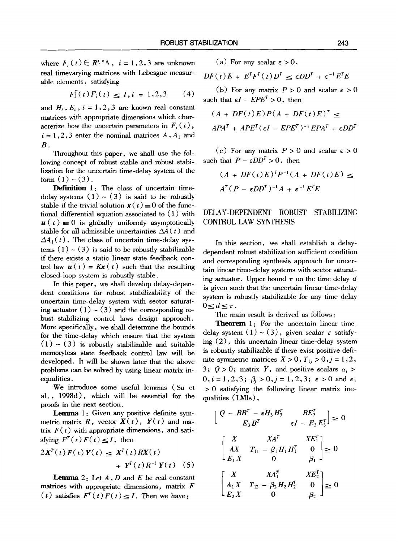where  $F_i(t) \in R^{s_i \times q_i}$ ,  $i = 1, 2, 3$  are unknown real timevarying matrices with Lebesgue measurable elements, satisfying

$$
F_i^T(t) F_i(t) \le I, i = 1, 2, 3 \tag{4}
$$

and  $H_i$ ,  $E_i$ ,  $i = 1, 2, 3$  are known real constant matrices with appropriate dimensions which characterize how the uncertain parameters in  $F_i(t)$ ,  $i = 1, 2, 3$  enter the nominal matrices  $A, A_1$  and **B.** 

Throughout this paper, we shall use the following concept of robust stable and robust stabilization for the uncertain time-delay system of the form  $(1) \sim (3)$ .

**Definition** 1: The class of uncertain timedelay systems  $(1) \sim (3)$  is said to be robustly stable if the trivial solution  $x(t) \equiv 0$  of the functional differential equation associated to (1) with  $u(t) \equiv 0$  is globally uniformly asymptotically stable for all admissible uncertainties  $\Delta A(t)$  and  $\Delta A_1(t)$ . The class of uncertain time-delay systems  $(1) \sim (3)$  is said to be robustly stabilizable if there exists a static linear state feedback control law  $u(t) = Kx(t)$  such that the resulting closed-loop system is robustly stable.

In this paper, we shall develop delay-dependent conditions for robust stabilizability of the uncertain time-delay system with sector saturating actuator  $(1) \sim (3)$  and the corresponding robust stabilizing control laws design approach. More specifically, we shall determine the bounds for the time-delay which ensure that the system  $(1) \sim (3)$  is robustly stabilizable and suitable memoryless state feedback control law will be developed. It will be shown later that the above problems can be solved by using linear matrix inequalities.

We introduce some useful lemmas (Su et al., 1998d), which will be essential for the proofs in the next section.

Lemma 1: Given any positive definite symmetric matrix R, vector  $X(t)$ ,  $Y(t)$  and matrix  $F(t)$  with appropriate dimensions, and satisfying  $F^T(t) F(t) \leq I$ , then

$$
2X^{T}(t) F(t) Y(t) \leq X^{T}(t) RX(t)
$$
  
+ 
$$
Y^{T}(t) R^{-1} Y(t) \quad (5)
$$

**Lemma** 2: Let  $A$ ,  $D$  and  $E$  be real constant matrices with appropriate dimensions, matrix  $F$  $(t)$  satisfies  $F^{T}(t) F(t) \leq I$ . Then we have:

(a) For any scalar  $\epsilon > 0$ ,

$$
DF(t)E + E^{T}F^{T}(t)D^{T} \leq \varepsilon DD^{T} + \varepsilon^{-1}E^{T}E
$$

(b) For any matrix  $P > 0$  and scalar  $\varepsilon > 0$ such that  $\epsilon I - EPE^T > 0$ , then

$$
(A + DF(t)E)P(A + DF(t)E)^{T} \le
$$
  

$$
APA^{T} + APE^{T}(\epsilon I - EPE^{T})^{-1}EPA^{T} + \epsilon DD^{T}
$$

(c) For any matrix  $P > 0$  and scalar  $\epsilon > 0$ such that  $P - \epsilon D D^T > 0$ , then

$$
(A + DF(t)E)^{T}P^{-1}(A + DF(t)E) \le
$$
  

$$
A^{T}(P - \epsilon DD^{T})^{-1}A + \epsilon^{-1}E^{T}E
$$

## **DELAY-DEPENDENT ROBUST STABILIZING**  CONTROL LAW SYNTHESIS

In this section, we shall establish a delaydependent robust stabilization sufficient condition and corresponding synthesis approach for uncertain linear time-delay systems with sector saturating actuator. Upper bound  $\tau$  on the time delay d is given such that the uncertain linear time-delay system is robustly stabilizable for any time delay  $0 \leq d \leq \tau$ .

The main result is derived as follows:

**Theorem 1:** For the uncertain linear timedelay system  $(1) \sim (3)$ , given scalar  $\tau$  satisfying (2), this uncertain linear time-delay system is robustly stabilizable if there exist positive definite symmetric matrices  $X > 0$ ,  $T_{1j} > 0$ ,  $j = 1, 2$ , 3;  $Q > 0$ ; matrix Y, and positive scalars  $\alpha_i >$  $0, i = 1, 2, 3; \beta_i > 0, j = 1, 2, 3; \varepsilon > 0 \text{ and } \varepsilon_1$ > 0 satisfying the following linear matrix inequalities (LMIs),

$$
\begin{bmatrix}\nQ - BB^T - \epsilon H_3 H_3^T & BE_3^T \\
E_3 B^T & \epsilon I - E_3 E_3^T\n\end{bmatrix} \ge 0
$$
\n
$$
\begin{bmatrix}\nX & XA^T & XE_1^T \\
AX & T_{11} - \beta_1 H_1 H_1^T & 0 \\
E_1 X & 0 & \beta_1\n\end{bmatrix} \ge 0
$$
\n
$$
\begin{bmatrix}\nX & XA_1^T & XE_2^T \\
A_1 X & T_{12} - \beta_2 H_2 H_2^T & 0 \\
E_2 X & 0 & \beta_2\n\end{bmatrix} \ge 0
$$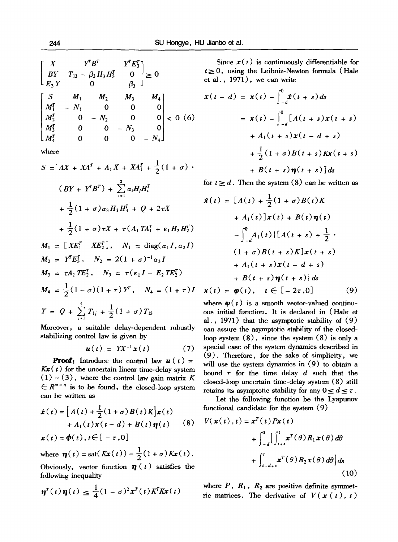$$
\begin{bmatrix} X & Y^T B^T & Y^T E_3^T \ BY & T_{13} - \beta_3 H_3 H_3^T & 0 \ E_3 Y & 0 & \beta_3 \end{bmatrix} \ge 0
$$
  

$$
\begin{bmatrix} S & M_1 & M_2 & M_3 & M_4 \ M_1^T & -N_1 & 0 & 0 & 0 \ M_2^T & 0 & -N_2 & 0 & 0 \ M_3^T & 0 & 0 & -N_3 & 0 \ M_4^T & 0 & 0 & 0 & -N_4 \end{bmatrix} < 0
$$
 (6)

where

$$
S = AX + XA^{T} + A_{1}X + XA_{1}^{T} + \frac{1}{2}(1 + \sigma) \cdot
$$
  
\n
$$
(BY + Y^{T}B^{T}) + \sum_{i=1}^{2} \alpha_{i}H_{i}H_{i}^{T}
$$
\n
$$
+ \frac{1}{2}(1 + \sigma)\alpha_{3}H_{3}H_{3}^{T} + Q + 2\tau X
$$
\n
$$
+ \frac{1}{2}(1 + \sigma)\tau X + \tau (A_{1}TA_{1}^{T} + \epsilon_{1}H_{2}H_{2}^{T})
$$
\n
$$
M_{1} = [XE_{1}^{T} XE_{2}^{T}], \quad N_{1} = \text{diag}(\alpha_{1}I, \alpha_{2}I)
$$
\n
$$
M_{2} = Y^{T}E_{3}^{T}, \quad N_{2} = 2(1 + \sigma)^{-1}\alpha_{3}I
$$
\n
$$
M_{3} = \tau A_{1}TE_{2}^{T}, \quad N_{3} = \tau (\epsilon_{1}I - E_{2}TE_{2}^{T})
$$
\n
$$
M_{4} = \frac{1}{2}(1 - \sigma)(1 + \tau)Y^{T}, \quad N_{4} = (1 + \tau)I
$$
\n
$$
T = Q + \sum_{j=1}^{2} T_{1j} + \frac{1}{2}(1 + \sigma) T_{13}
$$

Moreover, a suitable delay-dependent robustly stabilizing control law is given by

$$
\boldsymbol{u}(t) = Y X^{-1} \boldsymbol{x}(t) \tag{7}
$$

**Proof:** Introduce the control law  $u(t) =$  $Kx(t)$  for the uncertain linear time-delay system  $(1)$  ~ (3), where the control law gain matrix K  $\in R^{m \times n}$  is to be found, the closed-loop system can be written as

$$
\dot{\boldsymbol{x}}(t) = \left[A(t) + \frac{1}{2}(1+\sigma)B(t)K\right]\boldsymbol{x}(t) \n+ A_1(t)\boldsymbol{x}(t-d) + B(t)\boldsymbol{\eta}(t) \tag{8}
$$
\n
$$
\boldsymbol{x}(t) = \boldsymbol{\phi}(t), t \in [-\tau, 0]
$$

where 
$$
\eta(t) = \text{sat}(Kx(t)) - \frac{1}{2}(1+\sigma)Kx(t)
$$

Obviously, vector function  $\eta(t)$  satisfies the following inequality

$$
\boldsymbol{\eta}^T(t)\boldsymbol{\eta}(t) \leq \frac{1}{4}(1-\sigma)^2\boldsymbol{x}^T(t)K^T K\boldsymbol{x}(t)
$$

Since  $x(t)$  is continuously differentiable for  $t\geq 0$ , using the Leibniz-Newton formula (Hale et al., 1971), we can write

$$
\mathbf{x}(t - d) = \mathbf{x}(t) - \int_{-d}^{0} \dot{\mathbf{x}}(t + s) ds
$$
  
=  $\mathbf{x}(t) - \int_{-d}^{0} [A(t + s)\mathbf{x}(t + s) + A_1(t + s)\mathbf{x}(t - d + s) + \frac{1}{2}(1 + \sigma)B(t + s)K\mathbf{x}(t + s) + B(t + s)\eta(t + s)]ds$ 

for  $t \geq d$ . Then the system (8) can be written as

$$
\dot{x}(t) = [A(t) + \frac{1}{2}(1 + \sigma)B(t)K \n+ A_1(t)]x(t) + B(t)\eta(t) \n- \int_{-d}^{0} A_1(t) \{[A(t + s) + \frac{1}{2} \cdot (1 + \sigma)B(t + s)K]x(t + s) \n+ A_1(t + s)x(t - d + s) \n+ B(t + s)\eta(t + s)\}\,ds \nx(t) = \varphi(t), \quad t \in [-2\tau, 0]
$$
\n(9)

where  $\varphi(t)$  is a smooth vector-valued continuous initial function. It is declared in (Hale et al., 1971) that the asymptotic stability of (9) can assure the asymptotic stability of the closedloop system  $(8)$ , since the system  $(8)$  is only a special case of the system dynamics described in (9). Therefore, for the sake of simplicity, we will use the system dynamics in  $(9)$  to obtain a bound  $\tau$  for the time delay  $d$  such that the closed-loop uncertain time-delay system (8) still retains its asymptotic stability for any  $0 \leq d \leq \tau$ .

Let the following function be the Lyapunov functional candidate for the system (9)

$$
V(\mathbf{x}(t),t) = \mathbf{x}^{T}(t)P\mathbf{x}(t)
$$
  
+ 
$$
\int_{-d}^{0} \left[ \int_{t+s}^{t} \mathbf{x}^{T}(\theta) R_{1} \mathbf{x}(\theta) d\theta + \int_{t-d+s}^{t} \mathbf{x}^{T}(\theta) R_{2} \mathbf{x}(\theta) d\theta \right] ds
$$
(10)

where  $P$ ,  $R_1$ ,  $R_2$  are positive definite symmetric matrices. The derivative of  $V(x(t), t)$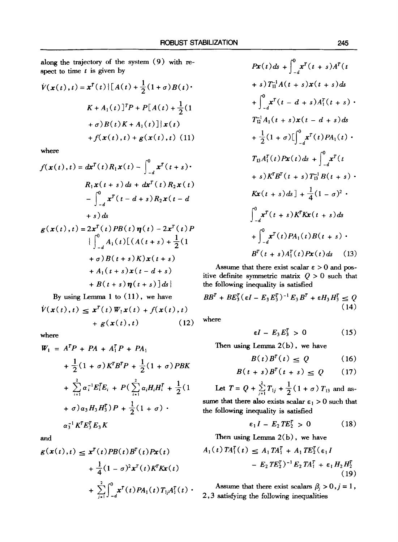along the trajectory of the system (9) with respect to time  $t$  is given by

$$
\dot{V}(\mathbf{x}(t), t) = \mathbf{x}^{T}(t) \{ [A(t) + \frac{1}{2}(1 + \sigma)B(t) \cdot
$$
\n
$$
K + A_{1}(t)]^{T} P + P[A(t) + \frac{1}{2}(1 + \sigma)B(t)K + A_{1}(t)] \} \mathbf{x}(t)
$$
\n
$$
+ f(\mathbf{x}(t), t) + g(\mathbf{x}(t), t) (11)
$$

where

$$
f(\mathbf{x}(t), t) = d\mathbf{x}^{T}(t) R_{1}\mathbf{x}(t) - \int_{-d}^{0} \mathbf{x}^{T}(t+s) \cdot
$$
  
\n
$$
R_{1}\mathbf{x}(t+s) ds + d\mathbf{x}^{T}(t) R_{2}\mathbf{x}(t)
$$
\n
$$
- \int_{-d}^{0} \mathbf{x}^{T}(t-d+s) R_{2}\mathbf{x}(t-d + s) ds
$$
\n
$$
g(\mathbf{x}(t), t) = 2\mathbf{x}^{T}(t) PB(t) \mathbf{\eta}(t) - 2\mathbf{x}^{T}(t) P
$$
\n
$$
\{\int_{-d}^{0} A_{1}(t) [ (A(t+s) + \frac{1}{2}(1 + \sigma)B(t+s)K)\mathbf{x}(t+s) + A_{1}(t+s)\mathbf{x}(t-d+s) + B(t+s) \mathbf{\eta}(t+s)] ds \}
$$

By using Lemma 1 to (11), we have  $\dot{V}(x(t),t) \leq x^{T}(t)W_{1}x(t) + f(x(t),t)$  $+ g(x(t),t)$  (12)

where

$$
W_1 = A^T P + P A + A_1^T P + P A_1
$$
  
+  $\frac{1}{2} (1 + \sigma) K^T B^T P + \frac{1}{2} (1 + \sigma) P B K$   
+  $\sum_{i=1}^{2} \alpha_i^{-1} E_i^T E_i + P (\sum_{i=1}^{2} \alpha_i H_i H_i^T + \frac{1}{2} (1 + \sigma) \cdot \alpha_3 H_3 H_3^T) P + \frac{1}{2} (1 + \sigma) \cdot \alpha_3^{-1} K^T E_3^T E_3 K$ 

*and* 

$$
g(x(t),t) \leq x^{T}(t)PB(t)B^{T}(t)Px(t) + \frac{1}{4}(1-\sigma)^{2}x^{T}(t)K^{T}Kx(t) + \sum_{j=1}^{2} \int_{-d}^{0} x^{T}(t)PA_{1}(t)T_{j}A_{1}^{T}(t).
$$

$$
Px(t)ds + \int_{-d}^{0} x^{T}(t+s)A^{T}(t + s)A^{T}(t + s)T_{1}^{1}A(t+s)x(t+s)ds
$$
  
+ 
$$
\int_{-d}^{0} x^{T}(t-d+s)A_{1}^{T}(t+s) \cdot T_{12}^{-1}A_{1}(t+s)x(t-d+s)ds
$$
  
+ 
$$
\frac{1}{2}(1+\sigma)[\int_{-d}^{0} x^{T}(t)PA_{1}(t) \cdot T_{13}A_{1}^{T}(t)Px(t)ds + \int_{-d}^{0} x^{T}(t + s)K_{13}^{T}B(t+s) \cdot Kx(t+s)ds] + \frac{1}{4}(1-\sigma)^{2} \cdot \int_{-d}^{0} x^{T}(t+s)K_{1}^{T}Kx(t+s)ds
$$
  
+ 
$$
\int_{-d}^{0} x^{T}(t)PA_{1}(t)B(t+s) \cdot B^{T}(t+s)A_{1}^{T}(t)Px(t)ds \quad (13)
$$

Assume that there exist scalar  $\varepsilon > 0$  and positive definite symmetric matrix  $Q > 0$  such that the following inequality is satisfied

$$
BBT + BE3T(\varepsilon I - E3E3T)-1E3BT + \varepsilon H3H3T \leq Q
$$
\n(14)

where

$$
\varepsilon I - E_3 E_3^T > 0 \qquad (15)
$$

Then using Lemma  $2(b)$ , we have

$$
B(t)B^{T}(t) \leq Q \qquad (16)
$$

$$
B(t+s)BT(t+s) \le Q \qquad (17)
$$

Let  $T = Q + \sum_{j=1}^{2} T_{1j} + \frac{1}{2} (1 + \sigma) T_{13}$  and assume that there also exists scalar  $\varepsilon_1 > 0$  such that the following inequality is satisfied

$$
\varepsilon_1 I - E_2 TE_2^T > 0 \tag{18}
$$

Then using Lemma  $2(b)$ , we have

$$
A_1(t) T A_1^T(t) \leq A_1 T A_1^T + A_1 T E_2^T(\epsilon_1 I - E_2 T E_2^T)^{-1} E_2 T A_1^T + \epsilon_1 H_2 H_2^T
$$
(19)

Assume that there exist scalars  $\beta_j > 0, j = 1$ , 2,3 satisfying the following inequalities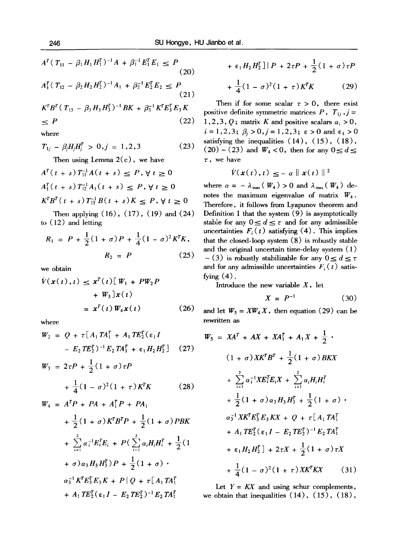$$
A^T (T_{11} - \beta_1 H_1 H_1^T)^{-1} A + \beta_1^{-1} E_1^T E_1 \le P
$$
  
(20)  

$$
A_1^T (T_{12} - \beta_2 H_2 H_2^T)^{-1} A_1 + \beta_2^{-1} E_2^T E_2 \le P
$$
  
(21)

$$
K^{T}B^{T}(T_{13} - \beta_{3}H_{3}H_{3}^{T})^{-1}BK + \beta_{3}^{-1}K^{T}E_{3}^{T}E_{3}K
$$
  
\n
$$
\leq P
$$
\n(22)

where

$$
T_{1j} - \beta_j H_j H_j^T > 0, j = 1, 2, 3 \tag{23}
$$

Then using Lemma  $2(c)$ , we have

$$
A^{T}(t+s) T_{11}^{-1} A(t+s) \le P, \forall t \ge 0
$$
  
\n
$$
A_{1}^{T}(t+s) T_{12}^{-1} A_{1}(t+s) \le P, \forall t \ge 0
$$
  
\n
$$
K^{T} B^{T}(t+s) T_{13}^{-1} B(t+s) K \le P, \forall t \ge 0
$$
  
\nThen applying (16) (17) (19) and (24)

Then applying (16), (17), (19) and (24) to (12) and letting

$$
R_1 = P + \frac{1}{2}(1 + \sigma)P + \frac{1}{4}(1 - \sigma)^2 K^T K,
$$
  

$$
R_2 = P
$$
 (25)

we obtain

$$
\dot{V}(\mathbf{x}(t),t) \leq \mathbf{x}^{T}(t) [\mathbf{W}_{1} + P\mathbf{W}_{2}P
$$

$$
+ \mathbf{W}_{3}]\mathbf{x}(t)
$$

$$
= \mathbf{x}^{T}(t) \mathbf{W}_{4}\mathbf{x}(t) \qquad (26)
$$

where

$$
W_2 = Q + \tau [A_1 T A_1^T + A_1 T E_2^T (\epsilon_1 I - E_2 T E_2^T)^{-1} E_2 T A_1^T + \epsilon_1 H_2 H_2^T]
$$
 (27)

$$
W_3 = 2\tau P + \frac{1}{2}(1+\sigma)\tau P
$$
  
+  $\frac{1}{4}(1-\sigma)^2(1+\tau)K^TK$  (28)

$$
W_4 = A^T P + PA + A_1^T P + PA_1
$$
  
+  $\frac{1}{2}(1 + \sigma) K^T B^T P + \frac{1}{2}(1 + \sigma) PBK$   
+  $\sum_{i=1}^{2} \alpha_i^{-1} E_i^T E_i + P(\sum_{i=1}^{2} \alpha_i H_i H_i^T + \frac{1}{2}(1 + \sigma) \alpha_3 H_3 H_3^T) P + \frac{1}{2}(1 + \sigma) \cdot \alpha_3^{-1} K^T E_3^T E_3 K + P \{Q + \tau [A_1 T A_1^T + A_1 T E_2^T (\epsilon_1 I - E_2 T E_2^T)^{-1} E_2 T A_1^T] \cdot H_3 F_4^T$ 

$$
+ \varepsilon_1 H_2 H_2^T ] \big\} P + 2\tau P + \frac{1}{2} (1 + \sigma) \tau P
$$

$$
+\frac{1}{4}(1-\sigma)^2(1+\tau)K^TK\qquad (29)
$$

Then if for some scalar  $\tau > 0$ , there exist positive definite symmetric matrices  $P$ ,  $T_{1i}$ ,  $j =$ 1,2,3, Q; matrix K and positive scalars  $\alpha_i > 0$ ,  $i=1,2,3; ~\beta_i>0, j=1,2,3; ~\epsilon>0$  and  $\epsilon_1>0$ satisfying the inequalities  $(14)$ ,  $(15)$ ,  $(18)$ ,  $(20)$  ~ (23) and  $W_4$  < 0, then for any  $0 \le d \le$  $\tau$ , we have

$$
\dot{V}(x(t),t) \leq -\alpha \|x(t)\|^2
$$

where  $\alpha = - \lambda_{\max} (W_4) > 0$  and  $\lambda_{\max} (W_4)$  denotes the maximum eigenvalue of matrix  $W_4$ . Therefore, it follows from Lyapunov theorem and Definition 1 that the system (9) is asymptotically stable for any  $0 \le d \le \tau$  and for any admissible uncertainties  $F_i(t)$  satisfying (4). This implies that the closed-loop system (8) is robustly stable and the original uncertain time-delay system (1)  $\sim$  (3) is robustly stabilizable for any  $0 \le d \le \tau$ and for any admissible uncertainties  $F_i(t)$  satisfying  $(4)$ .

Introduce the new variable  $X$ , let

$$
X = P^{-1} \tag{30}
$$

and let  $W_5 = XW_4 X$ , then equation (29) can be rewritten as

$$
W_5 = XA^T + AX + XA_1^T + A_1X + \frac{1}{2}.
$$
  
\n
$$
(1 + \sigma) XK^T B^T + \frac{1}{2} (1 + \sigma) BKX
$$
  
\n
$$
+ \sum_{i=1}^{2} \alpha_i^{-1} X E_i^T E_i X + \sum_{i=1}^{2} \alpha_i H_i H_i^T
$$
  
\n
$$
+ \frac{1}{2} (1 + \sigma) \alpha_3 H_3 H_3^T + \frac{1}{2} (1 + \sigma) .
$$
  
\n
$$
\alpha_3^{-1} X K^T E_3^T E_3 KX + Q + \tau [A_1 T A_1^T
$$
  
\n
$$
+ A_1 T E_2^T (\epsilon_1 I - E_2 T E_2^T)^{-1} E_2 T A_1^T
$$
  
\n
$$
+ \epsilon_1 H_2 H_2^T] + 2\tau X + \frac{1}{2} (1 + \sigma) \tau X
$$
  
\n
$$
+ \frac{1}{4} (1 - \sigma)^2 (1 + \tau) X K^T KX
$$
 (31)

Let  $Y = KX$  and using schur complements, we obtain that inequalities  $(14)$ ,  $(15)$ ,  $(18)$ ,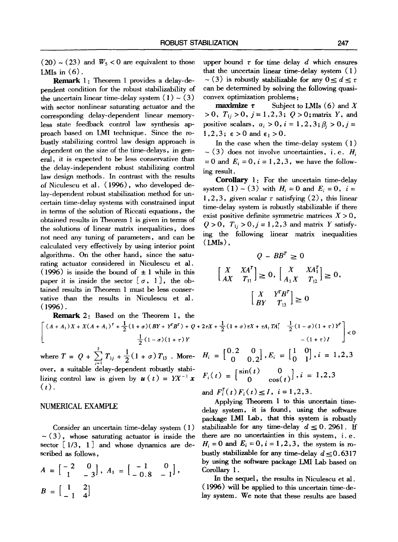$(20) \sim (23)$  and  $W_5 < 0$  are equivalent to those LMIs in  $(6)$ .

**Remark 1:** Theorem 1 provides a delay-dependent condition for the robust stabilizability of the uncertain linear time-delay system  $(1) \sim (3)$ with sector nonlinear saturating actuator and the corresponding delay-dependent linear memoryless state feedback control law synthesis approach based on LMI technique. Since the robustly stabilizing control law design approach is dependent on the size of the time-delays, in general, it is expected to be less conservative than the delay-independent robust stabilizing control law design methods. In contrast with the results of Niculescu et al. (1996), who developed delay-dependent robust stabilization method for uncertain time-delay systems with constrained input in terms of the solution of Riccati equations, the obtained results in Theorem 1 is given in terms of the solutions of linear matrix inequalities, does not need any tuning of parameters, and can be calculated very effectively by using interior point algorithms. On the other hand, since the saturating actuator considered in Niculescu et al. (1996) is inside the bound of  $\pm 1$  while in this paper it is inside the sector  $[\sigma, 1]$ , the obtained results in Theorem 1 must be less conservative than the results in Niculescu et al.  $(1996)$ .

**Remark** 2: Based on the Theorem 1, the  $\int (A + A_1)X + X(A + A_1)^T + \frac{1}{2}(1 + \sigma)(BY + Y^T B^T) + Q$ 

 $\frac{1}{2}(1-\sigma)(1+\tau)Y$ where  $T = Q + \sum_{j=1}^{n} T_{1j} + \frac{1}{2}(1 + \sigma) T_{13}$ . More-

over, a suitable delay-dependent robustly stabilizing control law is given by  $u(t) = Y X^{-1} x$  $(t)$ .

### NUMERICAL EXAMPLE

Consider an uncertain time-delay system (1)  $\sim$  (3), whose saturating actuator is inside the sector  $\begin{bmatrix} 1/3, 1 \end{bmatrix}$  and whose dynamics are described as follows,

$$
A = \begin{bmatrix} -2 & 0 \\ 1 & -3 \end{bmatrix}, A_1 = \begin{bmatrix} -1 & 0 \\ -0.8 & -1 \end{bmatrix},
$$
  

$$
B = \begin{bmatrix} 1 & 2 \\ -1 & 4 \end{bmatrix}
$$

upper bound  $\tau$  for time delay d which ensures that the uncertain linear time-delay system (1)  $\sim$  (3) is robustly stabilizable for any  $0 < d < \tau$ can be determined by solving the following quasiconvex optimization problems :

**maximize**  $\tau$  Subject to LMIs (6) and X *>0, TIj>O,j=I,2,3;* Q>0;matrix Y, and positive scalars,  $\alpha_i > 0$ ,  $i = 1, 2, 3$ ;  $\beta_i > 0$ ,  $j =$  $1,2,3$ ;  $\varepsilon > 0$  and  $\varepsilon_1 > 0$ .

In the case when the time-delay system (1)  $\sim$  (3) does not involve uncertainties, i.e.  $H_i$  $= 0$  and  $E_i = 0, i = 1, 2, 3$ , we have the following result.

Corollary 1: For the uncertain time-delay system  $(1) \sim (3)$  with  $H_i = 0$  and  $E_i = 0$ ,  $i=$ 1,2,3, given scalar  $\tau$  satisfying (2), this linear time-delay system is robustly stabilizable if there exist positive definite symmetric matrices  $X > 0$ ,  $Q > 0$ ,  $T_{1i} > 0$ ,  $j = 1, 2, 3$  and matrix Y satisfying the following linear matrix inequalities  $(LMIs)$ ,

$$
Q - BB^{T} \ge 0
$$
  
\n
$$
\begin{bmatrix} X & XA^{T} \\ AX & T_{11} \end{bmatrix} \ge 0, \begin{bmatrix} X & XA_{1}^{T} \\ A_{1}X & T_{12} \end{bmatrix} \ge 0,
$$
  
\n
$$
\begin{bmatrix} X & Y^{T}B^{T} \\ BY & T_{13} \end{bmatrix} \ge 0
$$

**~**   $- (1 + \tau)I \quad \Box$  $H_i = \begin{bmatrix} 0.2 & 0 \\ 0 & 0.2 \end{bmatrix}, E_i = \begin{bmatrix} 1 & 0 \\ 0 & 1 \end{bmatrix}, i=1,2$ 

$$
F_i(t) = \begin{bmatrix} \sin(t) & 0 \\ 0 & \cos(t) \end{bmatrix}, i = 1, 2, 3
$$

and  $F_i^T(t)F_i(t) \leq I$ ,  $i = 1,2,3$ .

Applying Theorem 1 to this uncertain timedelay system, it is found, using the software package LMI Lab, that this system is robustly stabilizable for any time-delay  $d \leq 0.2961$ . If there are no uncertainties in this system, i.e.  $H_i = 0$  and  $E_i = 0$ ,  $i = 1, 2, 3$ , the system is robustly stabilizable for any time-delay  $d \le 0.6317$ by using the software package LMI Lab based on Corollary 1.

In the sequel, the results in Niculescu et al. (1996) will be applied to this uncertain time-delay system. We note that these results are based